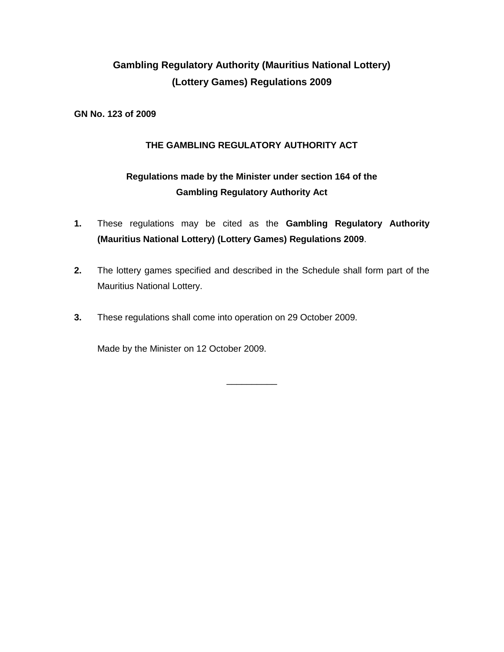# **Gambling Regulatory Authority (Mauritius National Lottery) (Lottery Games) Regulations 2009**

**GN No. 123 of 2009**

## **THE GAMBLING REGULATORY AUTHORITY ACT**

## **Regulations made by the Minister under section 164 of the Gambling Regulatory Authority Act**

- **1.** These regulations may be cited as the **Gambling Regulatory Authority (Mauritius National Lottery) (Lottery Games) Regulations 2009**.
- **2.** The lottery games specified and described in the Schedule shall form part of the Mauritius National Lottery.

\_\_\_\_\_\_\_\_\_\_

**3.** These regulations shall come into operation on 29 October 2009.

Made by the Minister on 12 October 2009.